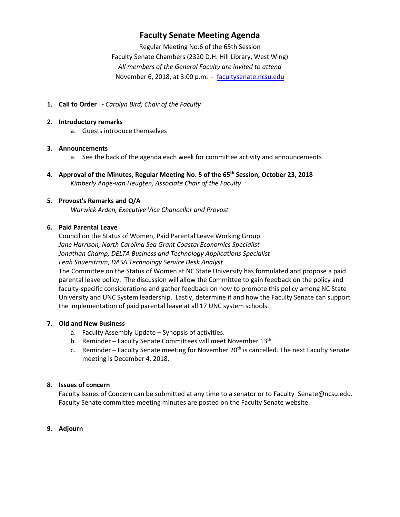## **Faculty Senate Meeting Agenda**

Regular Meeting No.6 of the 65th Session Faculty Senate Chambers (2320 D.H. Hill Library, West Wing) *All members of the General Faculty are invited to attend* November 6, 2018, at 3:00 p.m. - [facultysenate.ncsu.edu](https://facultysenate.ncsu.edu/)

**1. Call to Order -** *Carolyn Bird, Chair of the Faculty*

#### **2. Introductory remarks**

a. Guests introduce themselves

#### **3. Announcements**

- a. See the back of the agenda each week for committee activity and announcements
- **4. Approval of the Minutes, Regular Meeting No. 5 of the 65th Session, October 23, 2018** *Kimberly Ange-van Heugten, Associate Chair of the Faculty*

## **5. Provost's Remarks and Q/A**

*Warwick Arden, Executive Vice Chancellor and Provost*

#### **6. Paid Parental Leave**

Council on the Status of Women, Paid Parental Leave Working Group *Jane Harrison, North Carolina Sea Grant Coastal Economics Specialist Jonathan Champ, DELTA Business and Technology Applications Specialist Leah Sauerstrom, DASA Technology Service Desk Analyst*

The Committee on the Status of Women at NC State University has formulated and propose a paid parental leave policy. The discussion will allow the Committee to gain feedback on the policy and faculty-specific considerations and gather feedback on how to promote this policy among NC State University and UNC System leadership. Lastly, determine if and how the Faculty Senate can support the implementation of paid parental leave at all 17 UNC system schools.

## **7. Old and New Business**

- a. Faculty Assembly Update Synopsis of activities.
- b. Reminder Faculty Senate Committees will meet November 13<sup>th</sup>.
- c. Reminder Faculty Senate meeting for November  $20<sup>th</sup>$  is cancelled. The next Faculty Senate meeting is December 4, 2018.

## **8. Issues of concern**

Faculty Issues of Concern can be submitted at any time to a senator or to Faculty\_Senate@ncsu.edu. Faculty Senate committee meeting minutes are posted on the Faculty Senate website.

## **9. Adjourn**